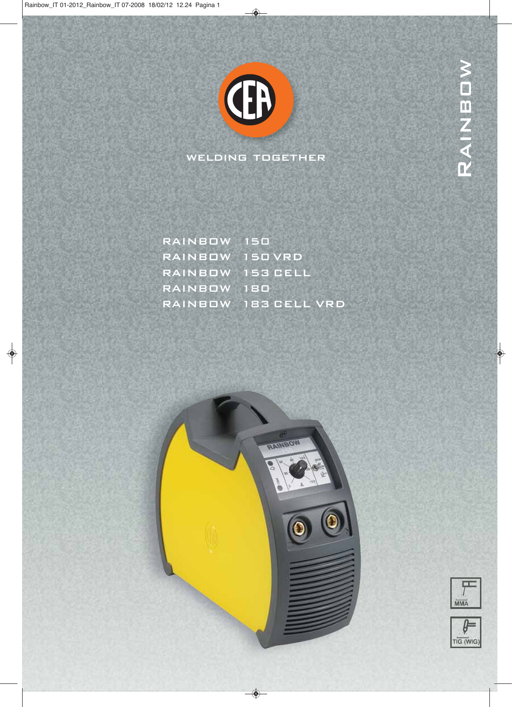

welding together

| RAINBOW 150      |                      |
|------------------|----------------------|
| RAINBOW 150 VRD  |                      |
| RAINBOW 153 CELL |                      |
| RAINBOW 180      |                      |
|                  | RAINBOW 183 CELL VRD |





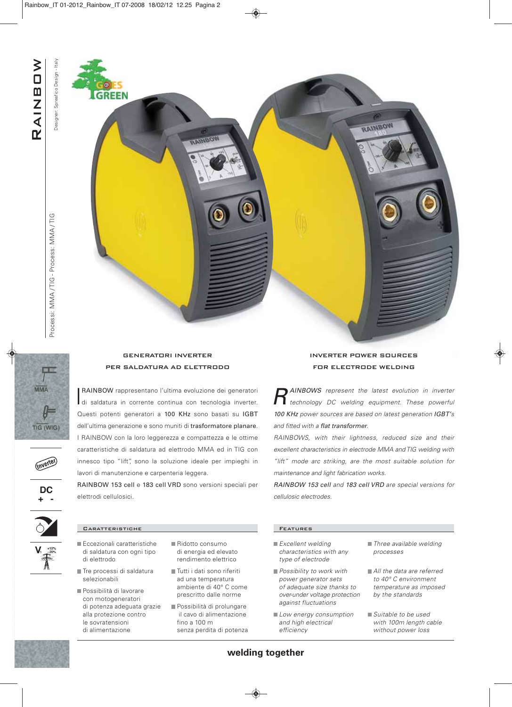Designer: Spreafico Design - Italy Designer: Spreafico Design - Italy

**REEN** 





(Inverter

DC



GENERATORI INVERTER

**RAINBOW** rappresentano l'ultima evoluzione dei generatori<br>di saldatura in corrente continua con tecnologia inverter. RAINBOW rappresentano l'ultima evoluzione dei generatori Questi potenti generatori a 100 KHz sono basati su IGBT dell'ultima generazione e sono muniti di trasformatore planare. I RAINBOW con la loro leggerezza e compattezza e le ottime caratteristiche di saldatura ad elettrodo MMA ed in TIG con innesco tipo "lift", sono la soluzione ideale per impieghi in lavori di manutenzione e carpenteria leggera.

RAINBOW 153 cell e 183 cell VRD sono versioni speciali per elettrodi cellulosici.

## Caratteristiche Features

- Eccezionali caratteristiche di saldatura con ogni tipo di elettrodo
- Tre processi di saldatura selezionabili
- **Possibilità di lavorare** con motogeneratori di potenza adeguata grazie alla protezione contro le sovratensioni di alimentazione
- Ridotto consumo di energia ed elevato rendimento elettrico
- Tutti i dati sono riferiti ad una temperatura ambiente di 40° C come prescritto dalle norme
- Possibilità di prolungare il cavo di alimentazione fino a 100 m senza perdita di potenza

- $\blacksquare$  Excellent welding characteristics with any type of electrode
- Possibility to work with power generator sets of adequate size thanks to over-under voltage protection against fluctuations
- Low energy consumption and high electrical efficiency
- Three available welding processes
- All the data are referred to 40° C environment temperature as imposed by the standards
- Suitable to be used with 100m length cable without power loss

## INVERTER POWER SOURCES FOR ELECTRODE WELDING

RAINBOY

**R** AINBOWS represent the latest evolution in inverter<br>**R** technology DC welding equipment. These powerful 100 KHz power sources are based on latest generation IGBT's and fitted with a flat transformer.

RAINBOWS, with their lightness, reduced size and their excellent characteristics in electrode MMA and TIG welding with "lift" mode arc striking, are the most suitable solution for maintenance and light fabrication works.

RAINBOW 153 cell and 183 cell VRD are special versions for cellulosic electrodes.

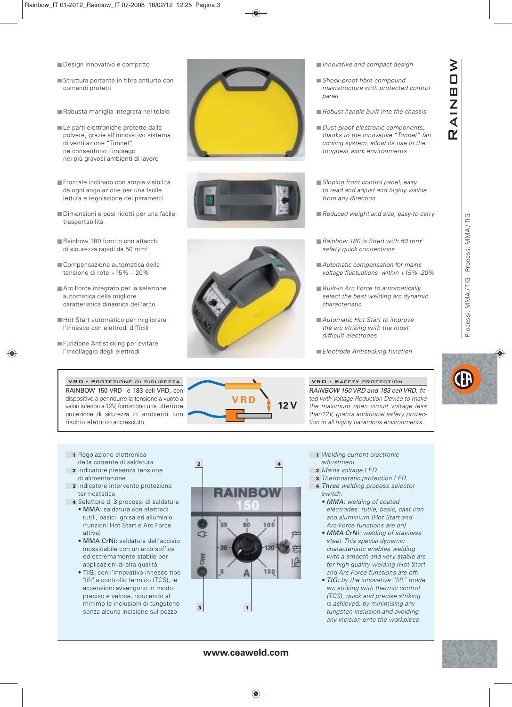- Design innovativo e compatto
- Struttura portante in fibra antiurto con comandi protetti
- Robusta maniglia integrata nel telaio
- Le parti elettroniche protette dalla polvere, grazie all'innovativo sistema di ventilazione "Tunnel", ne consentono l'impiego nei più gravosi ambienti di lavoro
- Frontale inclinato con ampia visibilità da ogni angolazione per una facile lettura e regolazione dei parametri
- Dimensioni e pesi ridotti per una facile trasportabilità
- Rainbow 180 fornito con attacchi di sicurezza rapidi da 50 mm2
- Compensazione automatica della tensione di rete +15% – 20%
- Arc Force integrato per la selezione automatica della migliore caratteristica dinamica dell'arco
- Hot Start automatico per migliorare l'innesco con elettrodi difficili
- Funzione Antisticking per evitare l'incollaggio degli elettrodi

VRD - Protezione di sicurezza RAINBOW 150 VRD e 183 cell VRD, con dispositivo a per ridurre la tensione a vuoto a valori inferiori a 12V, forniscono una ulteriore protezione di sicurezza in ambienti con rischio elettrico accresciuto.





**12 V** 

- Innovative and compact design
- Shock-proof fibre compound mainstructure with protected control panel
- $\blacksquare$  Robust handle built into the chassis
- Dust-proof electronic components thanks to the innovative "Tunnel" fan cooling system, allow its use in the toughest work environments
- Sloping front control panel, easy to read and adjust and highly visible from any direction
- Reduced weight and size, easy-to-carry
- Rainbow 180 is fitted with 50  $mm<sup>2</sup>$ safety quick connections
- **Automatic compensation for mains** voltage fluctuations within +15%–20%
- **Built-in Arc Force to automatically** select the best welding arc dynamic characteristic
- Automatic Hot Start to improve the arc striking with the most difficult electrodes
- **Electrode Antisticking function**

VRD - Safety protection RAINBOW 150 VRD and 183 cell VRD, fitted with Voltage Reduction Device to make the maximum open circuit voltage less than12V, grants additional safety protection in all highly hazardous environments.



Processi: MMA / TIG - Process: MMA / TIG

Processi: MMA/TIG - Process: MMA/TIG

**RAINBOW** 

 $\geq$  $\Box$  $\mathbf m$ Z  $\overline{1}$  $\mathbf R'$ 

- **1** Regolazione elettronica della corrente di saldatura
- **2** Indicatore presenza tensione di alimentazione
- **3** Indicatore intervento protezione termostatica
- **4** Selettore di 3 processi di saldatura • MMA: saldatura con elettrodi rutili, basici, ghisa ed alluminio (funzioni Hot Start e Arc Force attive)
	- MMA CrNi: saldatura dell'acciaio inossidabile con un arco soffice ed estremamente stabile per applicazioni di alta qualità
	- TIG: con l'innovativo innesco tipo "lift" a controllo termico (TCS), le accensioni avvengono in modo preciso e veloce, riducendo al minimo le inclusioni di tungsteno senza alcuna incisione sul pezzo



- **1** Welding current electronic adjustment
- **2** Mains voltage LED
- **3** Thermostatic protection LED
	- **4** Three welding process selector switch:
		- MMA: welding of coated electrodes: rutile, basic, cast iron and aluminium (Hot Start and Arc-Force functions are on)
		- MMA CrNi: welding of stainless steel. This special dynamic characteristic enables welding with a smooth and very stable arc for high quality welding (Hot Start and Arc-Force functions are off)
		- TIG: by the innovative "lift" mode arc striking with thermic control (TCS), quick and precise striking is achieved, by minimising any tungsten inclusion and avoiding any incision onto the workpiece